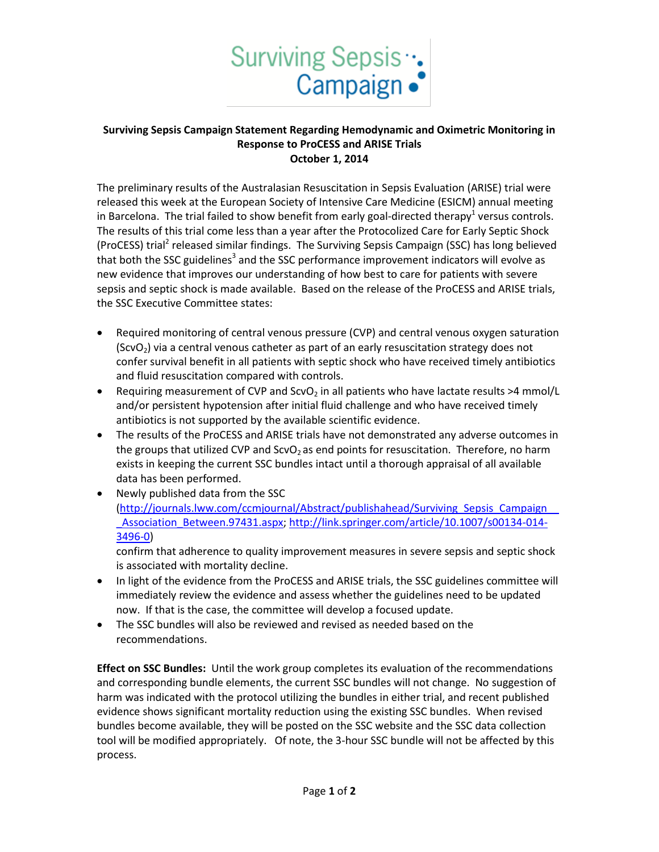

## **Surviving Sepsis Campaign Statement Regarding Hemodynamic and Oximetric Monitoring in Response to ProCESS and ARISE Trials October 1, 2014**

The preliminary results of the Australasian Resuscitation in Sepsis Evaluation (ARISE) trial were released this week at the European Society of Intensive Care Medicine (ESICM) annual meeting in Barcelona. The trial failed to show benefit from early goal-directed therapy<sup>1</sup> versus controls. The results of this trial come less than a year after the Protocolized Care for Early Septic Shock (ProCESS) trial<sup>2</sup> released similar findings. The Surviving Sepsis Campaign (SSC) has long believed that both the SSC guidelines<sup>3</sup> and the SSC performance improvement indicators will evolve as new evidence that improves our understanding of how best to care for patients with severe sepsis and septic shock is made available. Based on the release of the ProCESS and ARISE trials, the SSC Executive Committee states:

- Required monitoring of central venous pressure (CVP) and central venous oxygen saturation  $(ScvO<sub>2</sub>)$  via a central venous catheter as part of an early resuscitation strategy does not confer survival benefit in all patients with septic shock who have received timely antibiotics and fluid resuscitation compared with controls.
- **•** Requiring measurement of CVP and ScvO<sub>2</sub> in all patients who have lactate results >4 mmol/L and/or persistent hypotension after initial fluid challenge and who have received timely antibiotics is not supported by the available scientific evidence.
- The results of the ProCESS and ARISE trials have not demonstrated any adverse outcomes in the groups that utilized CVP and  $ScvO<sub>2</sub>$  as end points for resuscitation. Therefore, no harm exists in keeping the current SSC bundles intact until a thorough appraisal of all available data has been performed.
- Newly published data from the SSC [\(http://journals.lww.com/ccmjournal/Abstract/publishahead/Surviving\\_Sepsis\\_Campaign\\_\\_](http://journals.lww.com/ccmjournal/Abstract/publishahead/Surviving_Sepsis_Campaign___Association_Between.97431.aspx) [\\_Association\\_Between.97431.aspx;](http://journals.lww.com/ccmjournal/Abstract/publishahead/Surviving_Sepsis_Campaign___Association_Between.97431.aspx) [http://link.springer.com/article/10.1007/s00134-014-](http://link.springer.com/article/10.1007/s00134-014-3496-0) [3496-0\)](http://link.springer.com/article/10.1007/s00134-014-3496-0)

confirm that adherence to quality improvement measures in severe sepsis and septic shock is associated with mortality decline.

- In light of the evidence from the ProCESS and ARISE trials, the SSC guidelines committee will immediately review the evidence and assess whether the guidelines need to be updated now. If that is the case, the committee will develop a focused update.
- The SSC bundles will also be reviewed and revised as needed based on the recommendations.

**Effect on SSC Bundles:** Until the work group completes its evaluation of the recommendations and corresponding bundle elements, the current SSC bundles will not change. No suggestion of harm was indicated with the protocol utilizing the bundles in either trial, and recent published evidence shows significant mortality reduction using the existing SSC bundles. When revised bundles become available, they will be posted on the SSC website and the SSC data collection tool will be modified appropriately. Of note, the 3-hour SSC bundle will not be affected by this process.